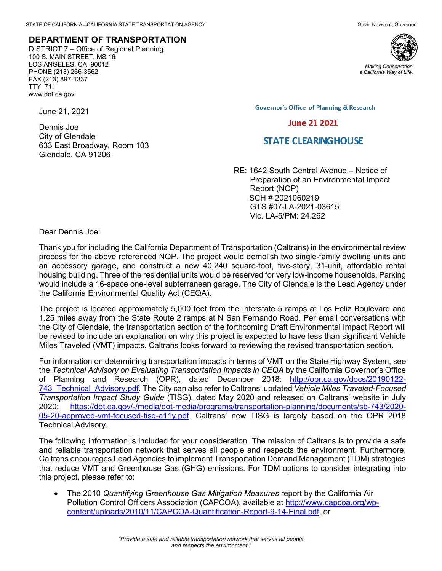## **DEPARTMENT OF TRANSPORTATION**

DISTRICT 7 – Office of Regional Planning 100 S. MAIN STREET, MS 16 LOS ANGELES, CA 90012 PHONE (213) 266-3562 FAX (213) 897-1337 TTY 711 www.dot.ca.gov

June 21, 2021

Dennis Joe City of Glendale 633 East Broadway, Room 103 Glendale, CA 91206



*Making Conservation a California Way of Life.*

**Governor's Office of Planning & Research** 

## **June 21 2021**

## **STATE CLEARING HOUSE**

RE: 1642 South Central Avenue – Notice of Preparation of an Environmental Impact Report (NOP) SCH # 2021060219 GTS #07-LA-2021-03615 Vic. LA-5/PM: 24.262

Dear Dennis Joe:

Thank you for including the California Department of Transportation (Caltrans) in the environmental review process for the above referenced NOP. The project would demolish two single-family dwelling units and an accessory garage, and construct a new 40,240 square-foot, five-story, 31-unit, affordable rental housing building. Three of the residential units would be reserved for very low-income households. Parking would include a 16-space one-level subterranean garage. The City of Glendale is the Lead Agency under the California Environmental Quality Act (CEQA).

The project is located approximately 5,000 feet from the Interstate 5 ramps at Los Feliz Boulevard and 1.25 miles away from the State Route 2 ramps at N San Fernando Road. Per email conversations with the City of Glendale, the transportation section of the forthcoming Draft Environmental Impact Report will be revised to include an explanation on why this project is expected to have less than significant Vehicle Miles Traveled (VMT) impacts. Caltrans looks forward to reviewing the revised transportation section.

For information on determining transportation impacts in terms of VMT on the State Highway System, see the *Technical Advisory on Evaluating Transportation Impacts in CEQA* by the California Governor's Office of Planning and Research (OPR), dated December 2018: [http://opr.ca.gov/docs/20190122-](http://opr.ca.gov/docs/20190122-743_Technical_Advisory.pdf) [743\\_Technical\\_Advisory.pdf.](http://opr.ca.gov/docs/20190122-743_Technical_Advisory.pdf) The City can also refer to Caltrans' updated *Vehicle Miles Traveled-Focused Transportation Impact Study Guide* (TISG), dated May 2020 and released on Caltrans' website in July 2020: [https://dot.ca.gov/-/media/dot-media/programs/transportation-planning/documents/sb-743/2020-](https://dot.ca.gov/-/media/dot-media/programs/transportation-planning/documents/sb-743/2020-05-20-approved-vmt-focused-tisg-a11y.pdf) [05-20-approved-vmt-focused-tisg-a11y.pdf.](https://dot.ca.gov/-/media/dot-media/programs/transportation-planning/documents/sb-743/2020-05-20-approved-vmt-focused-tisg-a11y.pdf) Caltrans' new TISG is largely based on the OPR 2018 Technical Advisory.

The following information is included for your consideration. The mission of Caltrans is to provide a safe and reliable transportation network that serves all people and respects the environment. Furthermore, Caltrans encourages Lead Agencies to implement Transportation Demand Management (TDM) strategies that reduce VMT and Greenhouse Gas (GHG) emissions. For TDM options to consider integrating into this project, please refer to:

• The 2010 *Quantifying Greenhouse Gas Mitigation Measures* report by the California Air Pollution Control Officers Association (CAPCOA), available at http://www.capcoa.org/wpcontent/uploads/2010/11/CAPCOA-Quantification-Report-9-14-Final.pdf, or